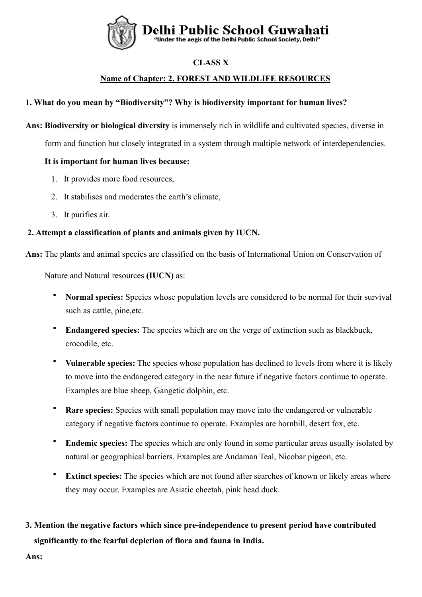

# **CLASS X**

# **Name of Chapter: 2. FOREST AND WILDLIFE RESOURCES**

# **1. What do you mean by "Biodiversity"? Why is biodiversity important for human lives?**

**Ans: Biodiversity or biological diversity** is immensely rich in wildlife and cultivated species, diverse in

form and function but closely integrated in a system through multiple network of interdependencies.

# **It is important for human lives because:**

- 1. It provides more food resources,
- 2. It stabilises and moderates the earth's climate,
- 3. It purifies air.

# **2. Attempt a classification of plants and animals given by IUCN.**

**Ans:** The plants and animal species are classified on the basis of International Union on Conservation of

Nature and Natural resources **(IUCN)** as:

- **Normal species:** Species whose population levels are considered to be normal for their survival such as cattle, pine,etc.
- **Endangered species:** The species which are on the verge of extinction such as blackbuck, crocodile, etc.
- **Vulnerable species:** The species whose population has declined to levels from where it is likely to move into the endangered category in the near future if negative factors continue to operate. Examples are blue sheep, Gangetic dolphin, etc.
- **Rare species:** Species with small population may move into the endangered or vulnerable category if negative factors continue to operate. Examples are hornbill, desert fox, etc.
- **Endemic species:** The species which are only found in some particular areas usually isolated by natural or geographical barriers. Examples are Andaman Teal, Nicobar pigeon, etc.
- **Extinct species:** The species which are not found after searches of known or likely areas where they may occur. Examples are Asiatic cheetah, pink head duck.

# **3. Mention the negative factors which since pre-independence to present period have contributed significantly to the fearful depletion of flora and fauna in India.**

**Ans:**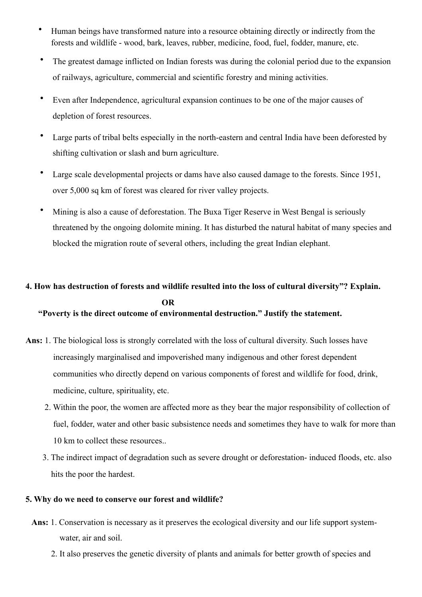- Human beings have transformed nature into a resource obtaining directly or indirectly from the forests and wildlife - wood, bark, leaves, rubber, medicine, food, fuel, fodder, manure, etc.
- The greatest damage inflicted on Indian forests was during the colonial period due to the expansion of railways, agriculture, commercial and scientific forestry and mining activities.
- Even after Independence, agricultural expansion continues to be one of the major causes of depletion of forest resources.
- Large parts of tribal belts especially in the north-eastern and central India have been deforested by shifting cultivation or slash and burn agriculture.
- Large scale developmental projects or dams have also caused damage to the forests. Since 1951, over 5,000 sq km of forest was cleared for river valley projects.
- Mining is also a cause of deforestation. The Buxa Tiger Reserve in West Bengal is seriously threatened by the ongoing dolomite mining. It has disturbed the natural habitat of many species and blocked the migration route of several others, including the great Indian elephant.

# **4. How has destruction of forests and wildlife resulted into the loss of cultural diversity"? Explain. OR "Poverty is the direct outcome of environmental destruction." Justify the statement.**

- **Ans:** 1. The biological loss is strongly correlated with the loss of cultural diversity. Such losses have increasingly marginalised and impoverished many indigenous and other forest dependent communities who directly depend on various components of forest and wildlife for food, drink, medicine, culture, spirituality, etc.
	- 2. Within the poor, the women are affected more as they bear the major responsibility of collection of fuel, fodder, water and other basic subsistence needs and sometimes they have to walk for more than 10 km to collect these resources..
	- 3. The indirect impact of degradation such as severe drought or deforestation- induced floods, etc. also hits the poor the hardest.

# **5. Why do we need to conserve our forest and wildlife?**

- **Ans:** 1. Conservation is necessary as it preserves the ecological diversity and our life support system water, air and soil.
	- 2. It also preserves the genetic diversity of plants and animals for better growth of species and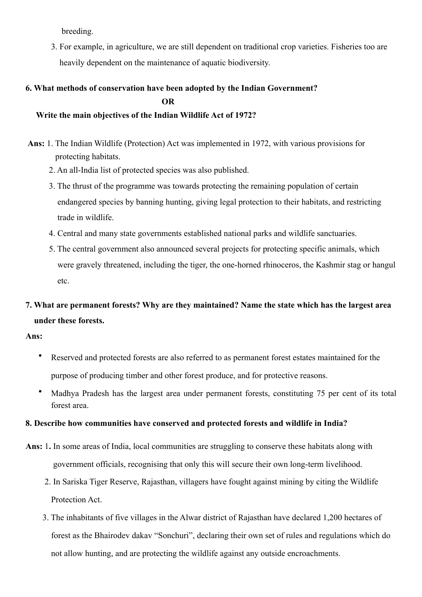breeding.

 3. For example, in agriculture, we are still dependent on traditional crop varieties. Fisheries too are heavily dependent on the maintenance of aquatic biodiversity.

# **6. What methods of conservation have been adopted by the Indian Government? OR**

# **Write the main objectives of the Indian Wildlife Act of 1972?**

- **Ans:** 1. The Indian Wildlife (Protection) Act was implemented in 1972, with various provisions for protecting habitats.
	- 2. An all-India list of protected species was also published.
	- 3. The thrust of the programme was towards protecting the remaining population of certain endangered species by banning hunting, giving legal protection to their habitats, and restricting trade in wildlife.
	- 4. Central and many state governments established national parks and wildlife sanctuaries.
	- 5. The central government also announced several projects for protecting specific animals, which were gravely threatened, including the tiger, the one-horned rhinoceros, the Kashmir stag or hangul etc.

# **7. What are permanent forests? Why are they maintained? Name the state which has the largest area under these forests.**

**Ans:**

- Reserved and protected forests are also referred to as permanent forest estates maintained for the purpose of producing timber and other forest produce, and for protective reasons.
- Madhya Pradesh has the largest area under permanent forests, constituting 75 per cent of its total forest area.

# **8. Describe how communities have conserved and protected forests and wildlife in India?**

- **Ans:** 1**.** In some areas of India, local communities are struggling to conserve these habitats along with government officials, recognising that only this will secure their own long-term livelihood.
	- 2. In Sariska Tiger Reserve, Rajasthan, villagers have fought against mining by citing the Wildlife Protection Act.
	- 3. The inhabitants of five villages in the Alwar district of Rajasthan have declared 1,200 hectares of forest as the Bhairodev dakav "Sonchuri", declaring their own set of rules and regulations which do not allow hunting, and are protecting the wildlife against any outside encroachments.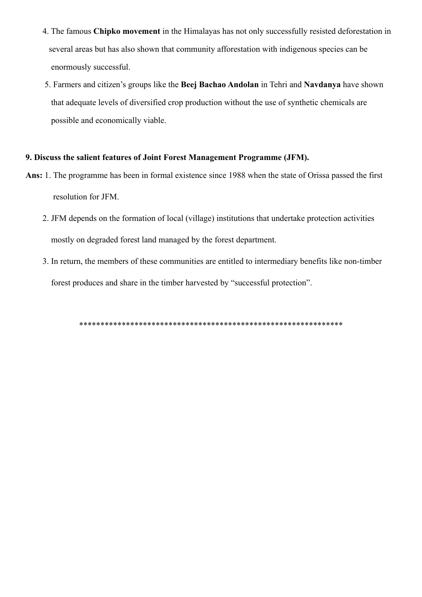- 4. The famous **Chipko movement** in the Himalayas has not only successfully resisted deforestation in several areas but has also shown that community afforestation with indigenous species can be enormously successful.
- 5. Farmers and citizen's groups like the **Beej Bachao Andolan** in Tehri and **Navdanya** have shown that adequate levels of diversified crop production without the use of synthetic chemicals are possible and economically viable.

#### **9. Discuss the salient features of Joint Forest Management Programme (JFM).**

- **Ans:** 1. The programme has been in formal existence since 1988 when the state of Orissa passed the first resolution for JFM.
	- 2. JFM depends on the formation of local (village) institutions that undertake protection activities mostly on degraded forest land managed by the forest department.
	- 3. In return, the members of these communities are entitled to intermediary benefits like non-timber forest produces and share in the timber harvested by "successful protection".

\*\*\*\*\*\*\*\*\*\*\*\*\*\*\*\*\*\*\*\*\*\*\*\*\*\*\*\*\*\*\*\*\*\*\*\*\*\*\*\*\*\*\*\*\*\*\*\*\*\*\*\*\*\*\*\*\*\*\*\*\*\*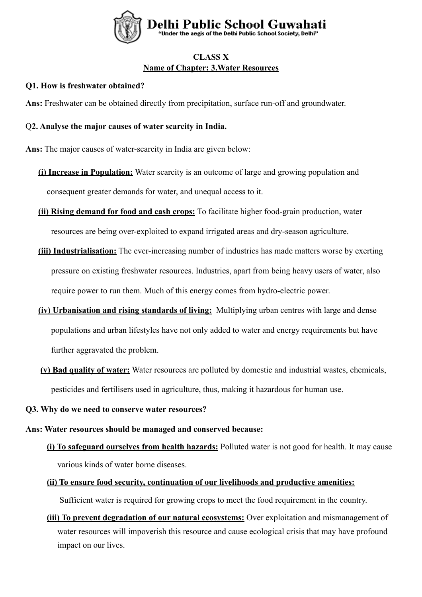

# **CLASS X Name of Chapter: 3.Water Resources**

# **Q1. How is freshwater obtained?**

**Ans:** Freshwater can be obtained directly from precipitation, surface run-off and groundwater.

# Q**2. Analyse the major causes of water scarcity in India.**

**Ans:** The major causes of water-scarcity in India are given below:

- **(i) Increase in Population:** Water scarcity is an outcome of large and growing population and consequent greater demands for water, and unequal access to it.
- **(ii) Rising demand for food and cash crops:** To facilitate higher food-grain production, water resources are being over-exploited to expand irrigated areas and dry-season agriculture.
- **(iii) Industrialisation:** The ever-increasing number of industries has made matters worse by exerting pressure on existing freshwater resources. Industries, apart from being heavy users of water, also require power to run them. Much of this energy comes from hydro-electric power.
- **(iv) Urbanisation and rising standards of living:** Multiplying urban centres with large and dense populations and urban lifestyles have not only added to water and energy requirements but have further aggravated the problem.
- **(v) Bad quality of water:** Water resources are polluted by domestic and industrial wastes, chemicals, pesticides and fertilisers used in agriculture, thus, making it hazardous for human use.
- **Q3. Why do we need to conserve water resources?**

#### **Ans: Water resources should be managed and conserved because:**

 **(i) To safeguard ourselves from health hazards:** Polluted water is not good for health. It may cause various kinds of water borne diseases.

# **(ii) To ensure food security, continuation of our livelihoods and productive amenities:**

Sufficient water is required for growing crops to meet the food requirement in the country.

 **(iii) To prevent degradation of our natural ecosystems:** Over exploitation and mismanagement of water resources will impoverish this resource and cause ecological crisis that may have profound impact on our lives.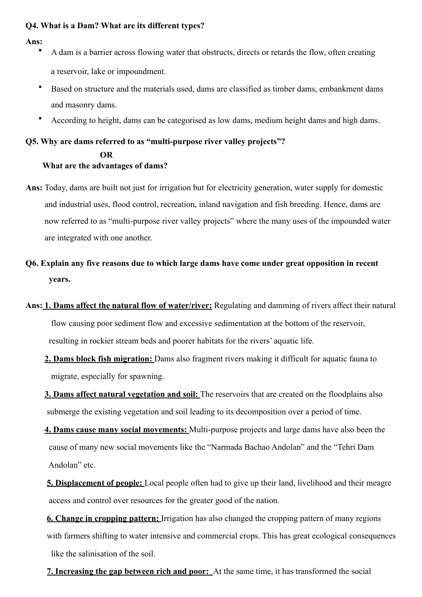# **Q4. What is a Dam? What are its different types?**

#### **Ans:**

- A dam is a barrier across flowing water that obstructs, directs or retards the flow, often creating a reservoir, lake or impoundment.
- Based on structure and the materials used, dams are classified as timber dams, embankment dams and masonry dams.
- According to height, dams can be categorised as low dams, medium height dams and high dams.

# **Q5. Why are dams referred to as "multi-purpose river valley projects"? OR What are the advantages of dams?**

- **Ans:** Today, dams are built not just for irrigation but for electricity generation, water supply for domestic and industrial uses, flood control, recreation, inland navigation and fish breeding. Hence, dams are now referred to as "multi-purpose river valley projects" where the many uses of the impounded water are integrated with one another.
- **Q6. Explain any five reasons due to which large dams have come under great opposition in recent years.**
- **Ans: 1. Dams affect the natural flow of water/river:** Regulating and damming of rivers affect their natural flow causing poor sediment flow and excessive sedimentation at the bottom of the reservoir, resulting in rockier stream beds and poorer habitats for the rivers' aquatic life.
	- **2. Dams block fish migration:** Dams also fragment rivers making it difficult for aquatic fauna to migrate, especially for spawning.
	- **3. Dams affect natural vegetation and soil:** The reservoirs that are created on the floodplains also submerge the existing vegetation and soil leading to its decomposition over a period of time.
	- **4. Dams cause many social movements:** Multi-purpose projects and large dams have also been the cause of many new social movements like the "Narmada Bachao Andolan" and the "Tehri Dam Andolan" etc.
	- **5. Displacement of people:** Local people often had to give up their land, livelihood and their meagre access and control over resources for the greater good of the nation.

 **6. Change in cropping pattern:** Irrigation has also changed the cropping pattern of many regions with farmers shifting to water intensive and commercial crops. This has great ecological consequences like the salinisation of the soil.

**7. Increasing the gap between rich and poor:** At the same time, it has transformed the social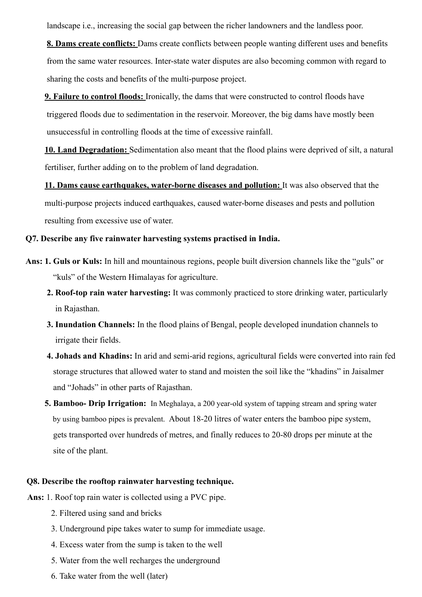landscape i.e., increasing the social gap between the richer landowners and the landless poor.

 **8. Dams create conflicts:** Dams create conflicts between people wanting different uses and benefits from the same water resources. Inter-state water disputes are also becoming common with regard to sharing the costs and benefits of the multi-purpose project.

 **9. Failure to control floods:** Ironically, the dams that were constructed to control floods have triggered floods due to sedimentation in the reservoir. Moreover, the big dams have mostly been unsuccessful in controlling floods at the time of excessive rainfall.

 **10. Land Degradation:** Sedimentation also meant that the flood plains were deprived of silt, a natural fertiliser, further adding on to the problem of land degradation.

 **11. Dams cause earthquakes, water-borne diseases and pollution:** It was also observed that the multi-purpose projects induced earthquakes, caused water-borne diseases and pests and pollution resulting from excessive use of water.

#### **Q7. Describe any five rainwater harvesting systems practised in India.**

- **Ans: 1. Guls or Kuls:** In hill and mountainous regions, people built diversion channels like the "guls" or "kuls" of the Western Himalayas for agriculture.
	- **2. Roof-top rain water harvesting:** It was commonly practiced to store drinking water, particularly in Rajasthan.
	- **3. Inundation Channels:** In the flood plains of Bengal, people developed inundation channels to irrigate their fields.
	- **4. Johads and Khadins:** In arid and semi-arid regions, agricultural fields were converted into rain fed storage structures that allowed water to stand and moisten the soil like the "khadins" in Jaisalmer and "Johads" in other parts of Rajasthan.
	- **5. Bamboo- Drip Irrigation:** In Meghalaya, a 200 year-old system of tapping stream and spring water by using bamboo pipes is prevalent. About 18-20 litres of water enters the bamboo pipe system, gets transported over hundreds of metres, and finally reduces to 20-80 drops per minute at the site of the plant.

#### **Q8. Describe the rooftop rainwater harvesting technique.**

- **Ans:** 1. Roof top rain water is collected using a PVC pipe.
	- 2. Filtered using sand and bricks
	- 3. Underground pipe takes water to sump for immediate usage.
	- 4. Excess water from the sump is taken to the well
	- 5. Water from the well recharges the underground
	- 6. Take water from the well (later)